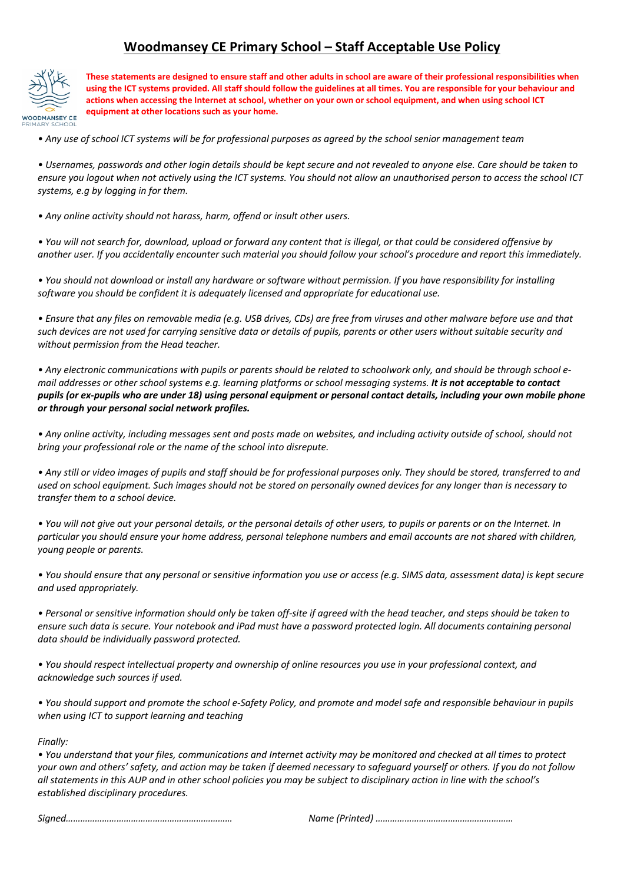## **Woodmansey CE Primary School – Staff Acceptable Use Policy**



**These statements are designed to ensure staff and other adults in school are aware of their professional responsibilities when using the ICT systems provided. All staff should follow the guidelines at all times. You are responsible for your behaviour and actions when accessing the Internet at school, whether on your own or school equipment, and when using school ICT equipment at other locations such as your home.**

*• Any use of school ICT systems will be for professional purposes as agreed by the school senior management team*

*• Usernames, passwords and other login details should be kept secure and not revealed to anyone else. Care should be taken to ensure you logout when not actively using the ICT systems. You should not allow an unauthorised person to access the school ICT systems, e.g by logging in for them.*

*• Any online activity should not harass, harm, offend or insult other users.*

*• You will not search for, download, upload or forward any content that is illegal, or that could be considered offensive by another user. If you accidentally encounter such material you should follow your school's procedure and report this immediately.*

*• You should not download or install any hardware or software without permission. If you have responsibility for installing software you should be confident it is adequately licensed and appropriate for educational use.*

*• Ensure that any files on removable media (e.g. USB drives, CDs) are free from viruses and other malware before use and that such devices are not used for carrying sensitive data or details of pupils, parents or other users without suitable security and without permission from the Head teacher.*

*• Any electronic communications with pupils or parents should be related to schoolwork only, and should be through school email addresses or other school systems e.g. learning platforms or school messaging systems. It is not acceptable to contact pupils (or ex-pupils who are under 18) using personal equipment or personal contact details, including your own mobile phone or through your personal social network profiles.*

*• Any online activity, including messages sent and posts made on websites, and including activity outside of school, should not bring your professional role or the name of the school into disrepute.*

*• Any still or video images of pupils and staff should be for professional purposes only. They should be stored, transferred to and used on school equipment. Such images should not be stored on personally owned devices for any longer than is necessary to transfer them to a school device.*

*• You will not give out your personal details, or the personal details of other users, to pupils or parents or on the Internet. In particular you should ensure your home address, personal telephone numbers and email accounts are not shared with children, young people or parents.*

*• You should ensure that any personal or sensitive information you use or access (e.g. SIMS data, assessment data) is kept secure and used appropriately.*

*• Personal or sensitive information should only be taken off-site if agreed with the head teacher, and steps should be taken to ensure such data is secure. Your notebook and iPad must have a password protected login. All documents containing personal data should be individually password protected.*

*• You should respect intellectual property and ownership of online resources you use in your professional context, and acknowledge such sources if used.*

*• You should support and promote the school e-Safety Policy, and promote and model safe and responsible behaviour in pupils when using ICT to support learning and teaching*

*Finally:*

*• You understand that your files, communications and Internet activity may be monitored and checked at all times to protect your own and others' safety, and action may be taken if deemed necessary to safeguard yourself or others. If you do not follow all statements in this AUP and in other school policies you may be subject to disciplinary action in line with the school's established disciplinary procedures.*

*Signed…………………………………………………………… Name (Printed) …………………………………………………*